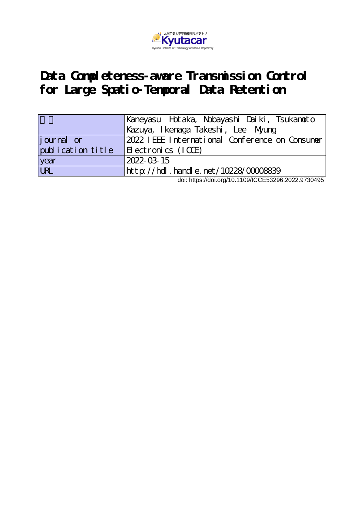

## Data Completeness-aware Transmission Control **for Large Spatio-Temporal Data Retention**

|                   | Kaneyasu Hotaka, Nobayashi Daiki, Tsukanoto    |
|-------------------|------------------------------------------------|
|                   | Kazuya, I kenaga Takeshi, Lee Myung            |
| journal or        | 2022 IEEE International Conference on Consumer |
| publication title | $ E $ ectronics $(ICCE)$                       |
| year              | 2022-03-15                                     |
| URL               | http://hdl.handle.net/10228/00008839           |

doi: https://doi.org/10.1109/ICCE53296.2022.9730495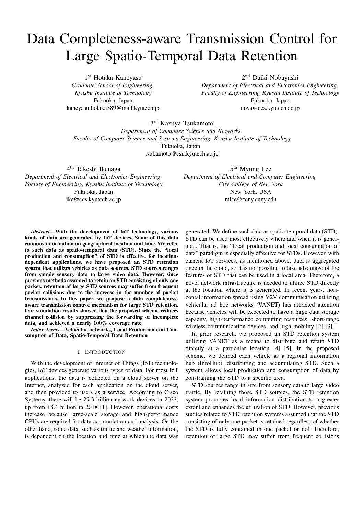# Data Completeness-aware Transmission Control for Large Spatio-Temporal Data Retention

1 st Hotaka Kaneyasu *Graduate School of Engineering Kyushu Institute of Technology* Fukuoka, Japan kaneyasu.hotaka389@mail.kyutech.jp

2 nd Daiki Nobayashi *Department of Electrical and Electronics Engineering Faculty of Engineering, Kyushu Institute of Technology* Fukuoka, Japan nova@ecs.kyutech.ac.jp

3 rd Kazuya Tsukamoto *Department of Computer Science and Networks Faculty of Computer Science and Systems Engineering, Kyushu Institute of Technology* Fukuoka, Japan tsukamoto@csn.kyutech.ac.jp

4<sup>th</sup> Takeshi Ikenaga

*Department of Electrical and Electronics Engineering Faculty of Engineering, Kyushu Institute of Technology* Fukuoka, Japan ike@ecs.kyutech.ac.jp

5<sup>th</sup> Myung Lee *Department of Electrical and Computer Engineering City College of New York* New York, USA

mlee@ccny.cuny.edu

*Abstract*—With the development of IoT technology, various kinds of data are generated by IoT devices. Some of this data contains information on geographical location and time. We refer to such data as spatio-temporal data (STD). Since the "local production and consumption" of STD is effective for locationdependent applications, we have proposed an STD retention system that utilizes vehicles as data sources. STD sources ranges from simple sensory data to large video data. However, since previous methods assumed to retain an STD consisting of only one packet, retention of large STD sources may suffer from frequent packet collisions due to the increase in the number of packet transmissions. In this paper, we propose a data completenessaware transmission control mechanism for large STD retention. Our simulation results showed that the proposed scheme reduces channel collision by suppressing the forwarding of incomplete data, and achieved a nearly 100% coverage rate.

*Index Terms*—Vehicular networks, Local Production and Consumption of Data, Spatio-Temporal Data Retention

#### I. INTRODUCTION

With the development of Internet of Things (IoT) technologies, IoT devices generate various types of data. For most IoT applications, the data is collected on a cloud server on the Internet, analyzed for each application on the cloud server, and then provided to users as a service. According to Cisco Systems, there will be 29.3 billion network devices in 2023, up from 18.4 billion in 2018 [1]. However, operational costs increase because large-scale storage and high-performance CPUs are required for data accumulation and analysis. On the other hand, some data, such as traffic and weather information, is dependent on the location and time at which the data was

generated. We define such data as spatio-temporal data (STD). STD can be used most effectively where and when it is generated. That is, the "local production and local consumption of data" paradigm is especially effective for STDs. However, with current IoT services, as mentioned above, data is aggregated once in the cloud, so it is not possible to take advantage of the features of STD that can be used in a local area. Therefore, a novel network infrastructure is needed to utilize STD directly at the location where it is generated. In recent years, horizontal information spread using V2V communication utilizing vehicular ad hoc networks (VANET) has attracted attention because vehicles will be expected to have a large data storage capacity, high-performance computing resources, short-range wireless communication devices, and high mobility [2] [3].

In prior research, we proposed an STD retention system utilizing VANET as a means to distribute and retain STD directly at a particular location [4] [5]. In the proposed scheme, we defined each vehicle as a regional information hub (InfoHub), distributing and accumulating STD. Such a system allows local production and consumption of data by constraining the STD to a specific area.

STD sources range in size from sensory data to large video traffic. By retaining those STD sources, the STD retention system promotes local information distribution to a greater extent and enhances the utilization of STD. However, previous studies related to STD retention systems assumed that the STD consisting of only one packet is retained regardless of whether the STD is fully contained in one packet or not. Therefore, retention of large STD may suffer from frequent collisions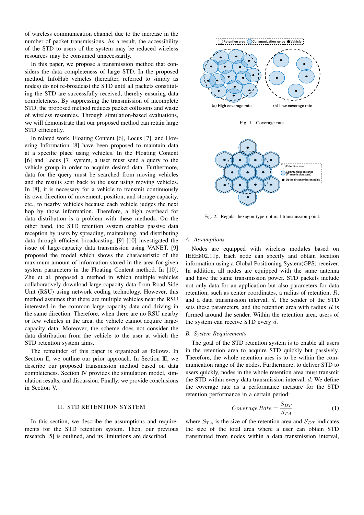of wireless communication channel due to the increase in the number of packet transmissions. As a result, the accessibility of the STD to users of the system may be reduced wireless resources may be consumed unnecessarily.

In this paper, we propose a transmission method that considers the data completeness of large STD. In the proposed method, InfoHub vehicles (hereafter, referred to simply as nodes) do not re-broadcast the STD until all packets constituting the STD are successfully received, thereby ensuring data completeness. By suppressing the transmission of incomplete STD, the proposed method reduces packet collisions and waste of wireless resources. Through simulation-based evaluations, we will demonstrate that our proposed method can retain large STD efficiently.

In related work, Floating Content [6], Locus [7], and Hovering Information [8] have been proposed to maintain data at a specific place using vehicles. In the Floating Content [6] and Locus [7] system, a user must send a query to the vehicle group in order to acquire desired data. Furthermore, data for the query must be searched from moving vehicles and the results sent back to the user using moving vehicles. In [8], it is necessary for a vehicle to transmit continuously its own direction of movement, position, and storage capacity, etc., to nearby vehicles because each vehicle judges the next hop by those information. Therefore, a high overhead for data distribution is a problem with these methods. On the other hand, the STD retention system enables passive data reception by users by spreading, maintaining, and distributing data through efficient broadcasting. [9] [10] investigated the issue of large-capacity data transmission using VANET. [9] proposed the model which shows the characteristic of the maximum amount of information stored in the area for given system parameters in the Floating Content method. In [10], Zhu et al. proposed a method in which multiple vehicles collaboratively download large-capacity data from Road Side Unit (RSU) using network coding technology. However, this method assumes that there are multiple vehicles near the RSU interested in the common large-capacity data and driving in the same direction. Therefore, when there are no RSU nearby or few vehicles in the area, the vehicle cannot acquire largecapacity data. Moreover, the scheme does not consider the data distribution from the vehicle to the user at which the STD retention system aims.

The remainder of this paper is organized as follows. In Section II, we outline our prior approach. In Section III, we describe our proposed transmission method based on data completeness. Section IV provides the simulation model, simulation results, and discussion. Finally, we provide conclusions in Section V.

### II. STD RETENTION SYSTEM

In this section, we describe the assumptions and requirements for the STD retention system. Then, our previous research [5] is outlined, and its limitations are described.



Fig. 1. Coverage rate.



Fig. 2. Regular hexagon type optimal transmission point.

#### *A. Assumptions*

Nodes are equipped with wireless modules based on IEEE802.11p. Each node can specify and obtain location information using a Global Positioning System(GPS) receiver. In addition, all nodes are equipped with the same antenna and have the same transmission power. STD packets include not only data for an application but also parameters for data retention, such as center coordinates, a radius of retention, *R*, and a data transmission interval, *d*. The sender of the STD sets these parameters, and the retention area with radius *R* is formed around the sender. Within the retention area, users of the system can receive STD every *d*.

#### *B. System Requirements*

The goal of the STD retention system is to enable all users in the retention area to acquire STD quickly but passively. Therefore, the whole retention ares is to be within the communication range of the nodes. Furthermore, to deliver STD to users quickly, nodes in the whole retention area must transmit the STD within every data transmission interval, *d*. We define the coverage rate as a performance measure for the STD retention performance in a certain period:

$$
Coverage Rate = \frac{S_{DT}}{S_{TA}} \tag{1}
$$

where  $S_{TA}$  is the size of the retention area and  $S_{DT}$  indicates the size of the total area where a user can obtain STD transmitted from nodes within a data transmission interval,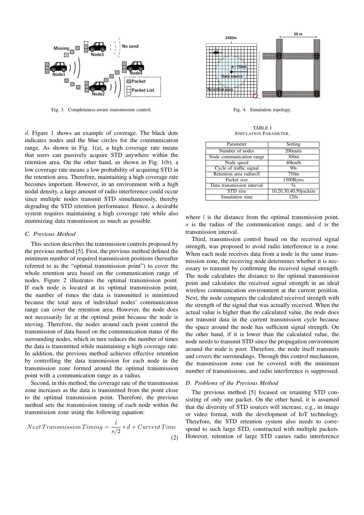

Fig. 3. Completeness-aware transmission control.

*d*. Figure 1 shows an example of coverage. The black dots indicates nodes and the blue circles for the communication range. As shown in Fig. 1(a), a high coverage rate means that users can passively acquire STD anywhere within the retention area. On the other hand, as shown in Fig. 1(b), a low coverage rate means a low probability of acquiring STD in the retention area. Therefore, maintaining a high coverage rate becomes important. However, in an environment with a high nodal density, a large amount of radio interference could occur since multiple nodes transmit STD simultaneously, thereby degrading the STD retention performance. Hence, a desirable system requires maintaining a high coverage rate while also minimizing data transmission as much as possible.

#### *C. Previous Method*

This section describes the transmission controls proposed by the previous method [5]. First, the previous method defined the minimum number of required transmission positions (hereafter referred to as the "optimal transmission point") to cover the whole retention area based on the communication range of nodes. Figure 2 illustrates the optimal transmission point. If each node is located at its optimal transmission point, the number of times the data is transmitted is minimized because the total area of individual nodes' communication range can cover the retention area. However, the node does not necessarily lie at the optimal point because the node is moving. Therefore, the nodes around each point control the transmission of data based on the communication status of the surrounding nodes, which in turn reduces the number of times the data is transmitted while maintaining a high coverage rate. In addition, the previous method achieves effective retention by controlling the data transmission for each node in the transmission zone formed around the optimal transmission point with a communication range as a radius.

Second, in this method, the coverage rate of the transmission zone increases as the data is transmitted from the point close to the optimal transmission point. Therefore, the previous method sets the transmission timing of each node within the transmission zone using the following equation:

Next Transmission Triming = 
$$
\frac{l}{s/2} * d + Current Time
$$
 (2)



Fig. 4. Simulation topology.

TABLE I SIMULATION PARAMETER.

| Parameter                  | Setting               |
|----------------------------|-----------------------|
| Number of nodes            | 200units              |
| Node communication range   | 300 <sub>m</sub>      |
| Node speed                 | 40km/h                |
| Cycle of traffic signal    | 90s                   |
| Retention area radius $R$  | 750m                  |
| Packet size                | 1500Bytes             |
| Data transmission interval | 5s                    |
| STD size                   | 10,20,30,40,50packets |
| Simulation time            | 120s                  |

where *l* is the distance from the optimal transmission point, *s* is the radius of the communication range, and *d* is the transmission interval.

Third, transmission control based on the received signal strength, was proposed to avoid radio interference in a zone. When each node receives data from a node in the same transmission zone, the receiving node determines whether it is necessary to transmit by confirming the received signal strength. The node calculates the distance to the optimal transmission point and calculates the received signal strength in an ideal wireless communication environment at the current position. Next, the node compares the calculated received strength with the strength of the signal that was actually received. When the actual value is higher than the calculated value, the node does not transmit data in the current transmission cycle because the space around the node has sufficient signal strength. On the other hand, if it is lower than the calculated value, the node needs to transmit STD since the propagation environment around the node is poor. Therefore, the node itself transmits and covers the surroundings. Through this control mechanism, the transmission zone can be covered with the minimum number of transmissions, and radio interference is suppressed.

#### *D. Problems of the Previous Method*

The previous method [5] focused on retaining STD consisting of only one packet. On the other hand, it is assumed that the diversity of STD sources will increase, e.g., in image or video format, with the development of IoT technology. Therefore, the STD retention system also needs to correspond to such large STD, constructed with multiple packets. However, retention of large STD causes radio interference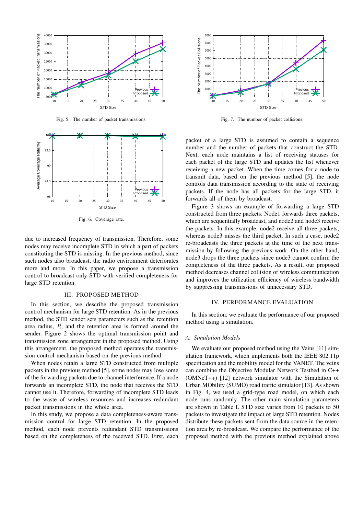

Fig. 5. The number of packet transmissions.



Fig. 6. Coverage rate.

due to increased frequency of transmission. Therefore, some nodes may receive incomplete STD in which a part of packets constituting the STD is missing. In the previous method, since such nodes also broadcast, the radio environment deteriorates more and more. In this paper, we propose a transmission control to broadcast only STD with verified completeness for large STD retention.

#### III. PROPOSED METHOD

In this section, we describe the proposed transmission control mechanism for large STD retention. As in the previous method, the STD sender sets parameters such as the retention area radius, *R*, and the retention area is formed around the sender. Figure 2 shows the optimal transmission point and transmission zone arrangement in the proposed method. Using this arrangement, the proposed method operates the transmission control mechanism based on the previous method.

When nodes retain a large STD constructed from multiple packets in the previous method [5], some nodes may lose some of the forwarding packets due to channel interference. If a node forwards an incomplete STD, the node that receives the STD cannot use it. Therefore, forwarding of incomplete STD leads to the waste of wireless resources and increases redundant packet transmissions in the whole area.

In this study, we propose a data completeness-aware transmission control for large STD retention. In the proposed method, each node prevents redundant STD transmissions based on the completeness of the received STD. First, each



Fig. 7. The number of packet collisions.

packet of a large STD is assumed to contain a sequence number and the number of packets that construct the STD. Next, each node maintains a list of receiving statuses for each packet of the large STD and updates the list whenever receiving a new packet. When the time comes for a node to transmit data, based on the previous method [5], the node controls data transmission according to the state of receiving packets. If the node has all packets for the large STD, it forwards all of them by broadcast.

Figure 3 shows an example of forwarding a large STD constructed from three packets. Node1 forwards three packets, which are sequentially broadcast, and node2 and node3 receive the packets. In this example, node2 receive all three packets, whereas node3 misses the third packet. In such a case, node2 re-broadcasts the three packets at the time of the next transmission by following the previous work. On the other hand, node3 drops the three packets since node3 cannot confirm the completeness of the three packets. As a result, our proposed method decreases channel collision of wireless communication and improves the utilization efficiency of wireless bandwidth by suppressing transmissions of unnecessary STD.

#### IV. PERFORMANCE EVALUATION

In this section, we evaluate the performance of our proposed method using a simulation.

#### *A. Simulation Models*

We evaluate our proposed method using the Veins [11] simulation framework, which implements both the IEEE 802.11p specification and the mobility model for the VANET. The veins can combine the Objective Modular Network Testbed in C++ (OMNeT++) [12] network simulator with the Simulation of Urban MObility (SUMO) road traffic simulator [13]. As shown in Fig. 4, we used a grid-type road model, on which each node runs randomly. The other main simulation parameters are shown in Table I. STD size varies from 10 packets to 50 packets to investigate the impact of large STD retention. Nodes distribute these packets sent from the data source in the retention area by re-broadcast. We compare the performance of the proposed method with the previous method explained above